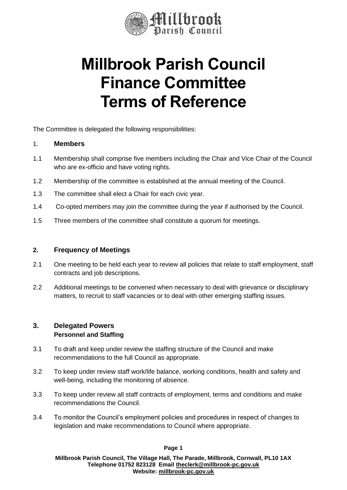

# **Millbrook Parish Council Finance Committee Terms of Reference**

The Committee is delegated the following responsibilities:

### 1. **Members**

- 1.1 Membership shall comprise five members including the Chair and Vice Chair of the Council who are ex-officio and have voting rights.
- 1.2 Membership of the committee is established at the annual meeting of the Council.
- 1.3 The committee shall elect a Chair for each civic year.
- 1.4 Co-opted members may join the committee during the year if authorised by the Council.
- 1.5 Three members of the committee shall constitute a quorum for meetings.

## **2. Frequency of Meetings**

- 2.1 One meeting to be held each year to review all policies that relate to staff employment, staff contracts and job descriptions.
- 2.2 Additional meetings to be convened when necessary to deal with grievance or disciplinary matters, to recruit to staff vacancies or to deal with other emerging staffing issues.

#### **3. Delegated Powers Personnel and Staffing**

- 3.1 To draft and keep under review the staffing structure of the Council and make recommendations to the full Council as appropriate.
- 3.2 To keep under review staff work/life balance, working conditions, health and safety and well-being, including the monitoring of absence.
- 3.3 To keep under review all staff contracts of employment, terms and conditions and make recommendations the Council.
- 3.4 To monitor the Council's employment policies and procedures in respect of changes to legislation and make recommendations to Council where appropriate.

**Page 1**

**Millbrook Parish Council, The Village Hall, The Parade, Millbrook, Cornwall, PL10 1AX Telephone 01752 823128 Email [theclerk@millbrook-pc.gov.uk](mailto:theclerk@millbrook-pc.gov.uk) Website: [millbrook-pc.gov.uk](https://millbrook-pc.gov.uk/)**